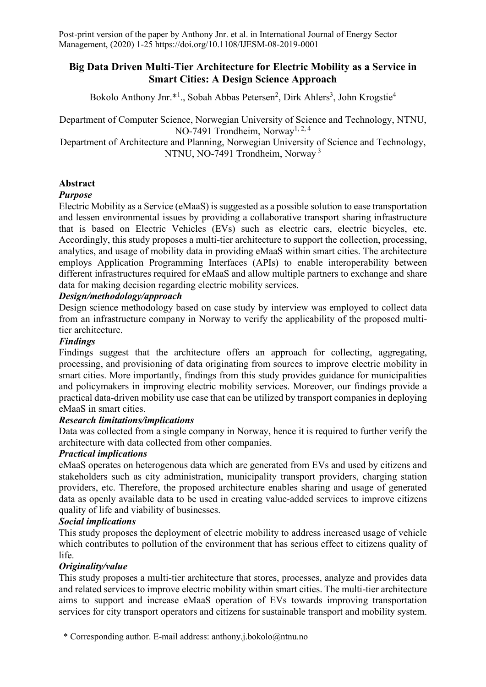### **Big Data Driven Multi-Tier Architecture for Electric Mobility as a Service in Smart Cities: A Design Science Approach**

Bokolo Anthony Jnr.\*1., Sobah Abbas Petersen<sup>2</sup>, Dirk Ahlers<sup>3</sup>, John Krogstie<sup>4</sup>

Department of Computer Science, Norwegian University of Science and Technology, NTNU, NO-7491 Trondheim, Norway<sup>1, 2, 4</sup>

Department of Architecture and Planning, Norwegian University of Science and Technology, NTNU, NO-7491 Trondheim, Norway <sup>3</sup>

### **Abstract**

### *Purpose*

Electric Mobility as a Service (eMaaS) is suggested as a possible solution to ease transportation and lessen environmental issues by providing a collaborative transport sharing infrastructure that is based on Electric Vehicles (EVs) such as electric cars, electric bicycles, etc. Accordingly, this study proposes a multi-tier architecture to support the collection, processing, analytics, and usage of mobility data in providing eMaaS within smart cities. The architecture employs Application Programming Interfaces (APIs) to enable interoperability between different infrastructures required for eMaaS and allow multiple partners to exchange and share data for making decision regarding electric mobility services.

### *Design/methodology/approach*

Design science methodology based on case study by interview was employed to collect data from an infrastructure company in Norway to verify the applicability of the proposed multitier architecture.

#### *Findings*

Findings suggest that the architecture offers an approach for collecting, aggregating, processing, and provisioning of data originating from sources to improve electric mobility in smart cities. More importantly, findings from this study provides guidance for municipalities and policymakers in improving electric mobility services. Moreover, our findings provide a practical data-driven mobility use case that can be utilized by transport companies in deploying eMaaS in smart cities.

### *Research limitations/implications*

Data was collected from a single company in Norway, hence it is required to further verify the architecture with data collected from other companies.

#### *Practical implications*

eMaaS operates on heterogenous data which are generated from EVs and used by citizens and stakeholders such as city administration, municipality transport providers, charging station providers, etc. Therefore, the proposed architecture enables sharing and usage of generated data as openly available data to be used in creating value-added services to improve citizens quality of life and viability of businesses.

#### *Social implications*

This study proposes the deployment of electric mobility to address increased usage of vehicle which contributes to pollution of the environment that has serious effect to citizens quality of life.

#### *Originality/value*

This study proposes a multi-tier architecture that stores, processes, analyze and provides data and related services to improve electric mobility within smart cities. The multi-tier architecture aims to support and increase eMaaS operation of EVs towards improving transportation services for city transport operators and citizens for sustainable transport and mobility system.

\* Corresponding author. E-mail address: anthony.j.bokolo@ntnu.no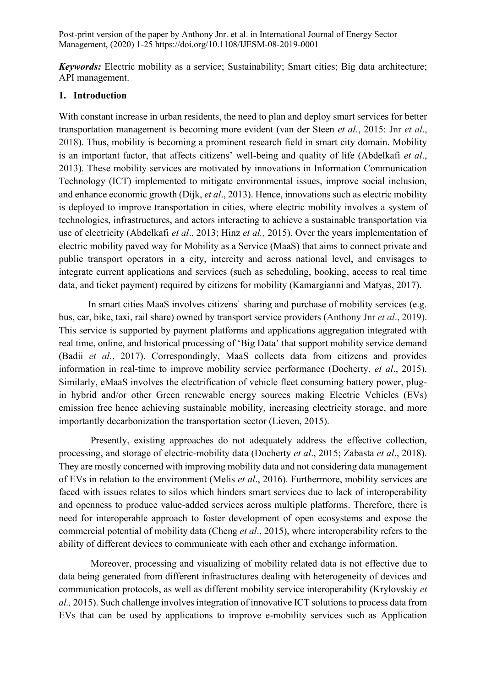*Keywords:* Electric mobility as a service; Sustainability; Smart cities; Big data architecture; API management.

#### **1. Introduction**

With constant increase in urban residents, the need to plan and deploy smart services for better transportation management is becoming more evident (van der Steen *et al*., 2015: Jnr *et al*., 2018). Thus, mobility is becoming a prominent research field in smart city domain. Mobility is an important factor, that affects citizens' well-being and quality of life (Abdelkafi *et al*., 2013). These mobility services are motivated by innovations in Information Communication Technology (ICT) implemented to mitigate environmental issues, improve social inclusion, and enhance economic growth (Dijk, *et al*., 2013). Hence, innovations such as electric mobility is deployed to improve transportation in cities, where electric mobility involves a system of technologies, infrastructures, and actors interacting to achieve a sustainable transportation via use of electricity (Abdelkafi *et al*., 2013; Hinz *et al.,* 2015). Over the years implementation of electric mobility paved way for Mobility as a Service (MaaS) that aims to connect private and public transport operators in a city, intercity and across national level, and envisages to integrate current applications and services (such as scheduling, booking, access to real time data, and ticket payment) required by citizens for mobility (Kamargianni and Matyas, 2017).

In smart cities MaaS involves citizens` sharing and purchase of mobility services (e.g. bus, car, bike, taxi, rail share) owned by transport service providers (Anthony Jnr *et al*., 2019). This service is supported by payment platforms and applications aggregation integrated with real time, online, and historical processing of 'Big Data' that support mobility service demand (Badii *et al*., 2017). Correspondingly, MaaS collects data from citizens and provides information in real-time to improve mobility service performance (Docherty, *et al*., 2015). Similarly, eMaaS involves the electrification of vehicle fleet consuming battery power, plugin hybrid and/or other Green renewable energy sources making Electric Vehicles (EVs) emission free hence achieving sustainable mobility, increasing electricity storage, and more importantly decarbonization the transportation sector (Lieven, 2015).

Presently, existing approaches do not adequately address the effective collection, processing, and storage of electric-mobility data (Docherty *et al*., 2015; Zabasta *et al*., 2018). They are mostly concerned with improving mobility data and not considering data management of EVs in relation to the environment (Melis *et al*., 2016). Furthermore, mobility services are faced with issues relates to silos which hinders smart services due to lack of interoperability and openness to produce value-added services across multiple platforms. Therefore, there is need for interoperable approach to foster development of open ecosystems and expose the commercial potential of mobility data (Cheng *et al*., 2015), where interoperability refers to the ability of different devices to communicate with each other and exchange information.

Moreover, processing and visualizing of mobility related data is not effective due to data being generated from different infrastructures dealing with heterogeneity of devices and communication protocols, as well as different mobility service interoperability (Krylovskiy *et al.,* 2015). Such challenge involves integration of innovative ICT solutions to process data from EVs that can be used by applications to improve e-mobility services such as Application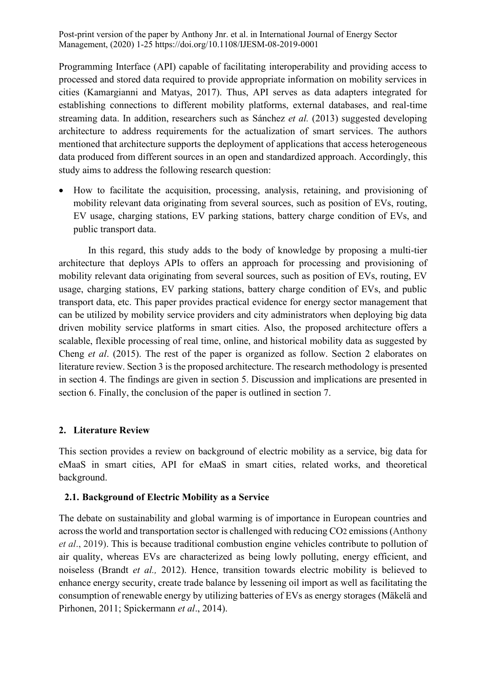Programming Interface (API) capable of facilitating interoperability and providing access to processed and stored data required to provide appropriate information on mobility services in cities (Kamargianni and Matyas, 2017). Thus, API serves as data adapters integrated for establishing connections to different mobility platforms, external databases, and real-time streaming data. In addition, researchers such as Sánchez *et al.* (2013) suggested developing architecture to address requirements for the actualization of smart services. The authors mentioned that architecture supports the deployment of applications that access heterogeneous data produced from different sources in an open and standardized approach. Accordingly, this study aims to address the following research question:

• How to facilitate the acquisition, processing, analysis, retaining, and provisioning of mobility relevant data originating from several sources, such as position of EVs, routing, EV usage, charging stations, EV parking stations, battery charge condition of EVs, and public transport data.

In this regard, this study adds to the body of knowledge by proposing a multi-tier architecture that deploys APIs to offers an approach for processing and provisioning of mobility relevant data originating from several sources, such as position of EVs, routing, EV usage, charging stations, EV parking stations, battery charge condition of EVs, and public transport data, etc. This paper provides practical evidence for energy sector management that can be utilized by mobility service providers and city administrators when deploying big data driven mobility service platforms in smart cities. Also, the proposed architecture offers a scalable, flexible processing of real time, online, and historical mobility data as suggested by Cheng *et al*. (2015). The rest of the paper is organized as follow. Section 2 elaborates on literature review. Section 3 is the proposed architecture. The research methodology is presented in section 4. The findings are given in section 5. Discussion and implications are presented in section 6. Finally, the conclusion of the paper is outlined in section 7.

#### **2. Literature Review**

This section provides a review on background of electric mobility as a service, big data for eMaaS in smart cities, API for eMaaS in smart cities, related works, and theoretical background.

#### **2.1. Background of Electric Mobility as a Service**

The debate on sustainability and global warming is of importance in European countries and across the world and transportation sector is challenged with reducing CO2 emissions(Anthony *et al*., 2019). This is because traditional combustion engine vehicles contribute to pollution of air quality, whereas EVs are characterized as being lowly polluting, energy efficient, and noiseless (Brandt *et al.,* 2012). Hence, transition towards electric mobility is believed to enhance energy security, create trade balance by lessening oil import as well as facilitating the consumption of renewable energy by utilizing batteries of EVs as energy storages (Mäkelä and Pirhonen, 2011; Spickermann *et al*., 2014).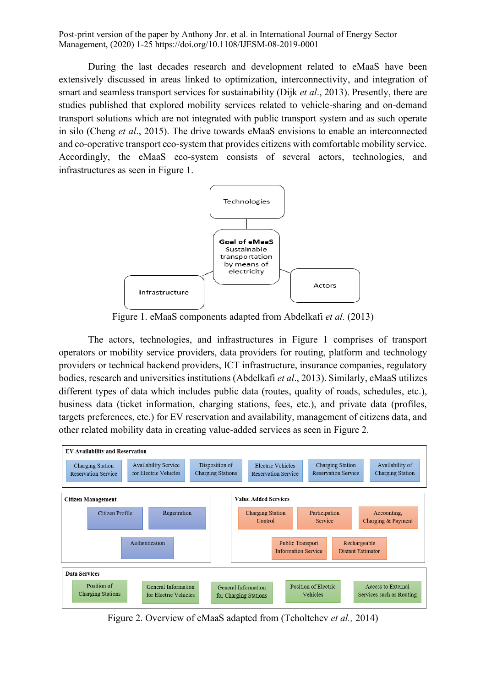During the last decades research and development related to eMaaS have been extensively discussed in areas linked to optimization, interconnectivity, and integration of smart and seamless transport services for sustainability (Dijk *et al*., 2013). Presently, there are studies published that explored mobility services related to vehicle-sharing and on-demand transport solutions which are not integrated with public transport system and as such operate in silo (Cheng *et al*., 2015). The drive towards eMaaS envisions to enable an interconnected and co-operative transport eco-system that provides citizens with comfortable mobility service. Accordingly, the eMaaS eco-system consists of several actors, technologies, and infrastructures as seen in Figure 1.



Figure 1. eMaaS components adapted from Abdelkafi *et al.* (2013)

The actors, technologies, and infrastructures in Figure 1 comprises of transport operators or mobility service providers, data providers for routing, platform and technology providers or technical backend providers, ICT infrastructure, insurance companies, regulatory bodies, research and universities institutions (Abdelkafi *et al*., 2013). Similarly, eMaaS utilizes different types of data which includes public data (routes, quality of roads, schedules, etc.), business data (ticket information, charging stations, fees, etc.), and private data (profiles, targets preferences, etc.) for EV reservation and availability, management of citizens data, and other related mobility data in creating value-added services as seen in Figure 2.



Figure 2. Overview of eMaaS adapted from (Tcholtchev *et al.,* 2014)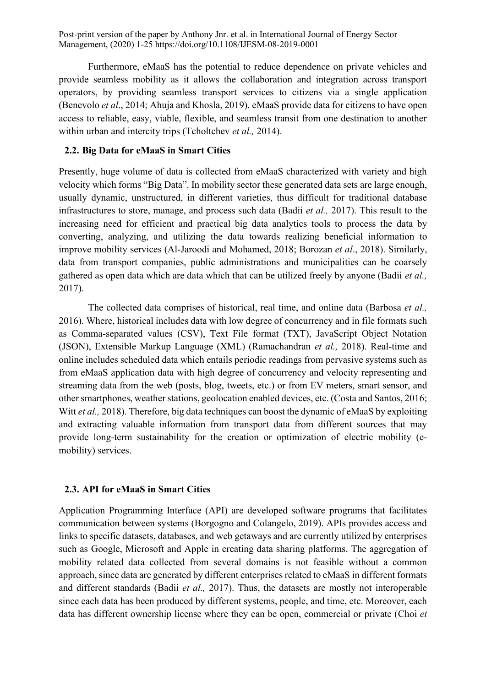Furthermore, eMaaS has the potential to reduce dependence on private vehicles and provide seamless mobility as it allows the collaboration and integration across transport operators, by providing seamless transport services to citizens via a single application (Benevolo *et al*., 2014; Ahuja and Khosla, 2019). eMaaS provide data for citizens to have open access to reliable, easy, viable, flexible, and seamless transit from one destination to another within urban and intercity trips (Tcholtchev *et al.,* 2014).

### **2.2. Big Data for eMaaS in Smart Cities**

Presently, huge volume of data is collected from eMaaS characterized with variety and high velocity which forms "Big Data". In mobility sector these generated data sets are large enough, usually dynamic, unstructured, in different varieties, thus difficult for traditional database infrastructures to store, manage, and process such data (Badii *et al.,* 2017). This result to the increasing need for efficient and practical big data analytics tools to process the data by converting, analyzing, and utilizing the data towards realizing beneficial information to improve mobility services (Al-Jaroodi and Mohamed, 2018; Borozan *et al*., 2018). Similarly, data from transport companies, public administrations and municipalities can be coarsely gathered as open data which are data which that can be utilized freely by anyone (Badii *et al.,* 2017).

The collected data comprises of historical, real time, and online data (Barbosa *et al.,* 2016). Where, historical includes data with low degree of concurrency and in file formats such as Comma-separated values (CSV), Text File format (TXT), JavaScript Object Notation (JSON), Extensible Markup Language (XML) (Ramachandran *et al.,* 2018). Real-time and online includes scheduled data which entails periodic readings from pervasive systems such as from eMaaS application data with high degree of concurrency and velocity representing and streaming data from the web (posts, blog, tweets, etc.) or from EV meters, smart sensor, and other smartphones, weather stations, geolocation enabled devices, etc. (Costa and Santos, 2016; Witt *et al.*, 2018). Therefore, big data techniques can boost the dynamic of eMaaS by exploiting and extracting valuable information from transport data from different sources that may provide long-term sustainability for the creation or optimization of electric mobility (emobility) services.

### **2.3. API for eMaaS in Smart Cities**

Application Programming Interface (API) are developed software programs that facilitates communication between systems (Borgogno and Colangelo, 2019). APIs provides access and links to specific datasets, databases, and web getaways and are currently utilized by enterprises such as Google, Microsoft and Apple in creating data sharing platforms. The aggregation of mobility related data collected from several domains is not feasible without a common approach, since data are generated by different enterprises related to eMaaS in different formats and different standards (Badii *et al.,* 2017). Thus, the datasets are mostly not interoperable since each data has been produced by different systems, people, and time, etc. Moreover, each data has different ownership license where they can be open, commercial or private (Choi *et*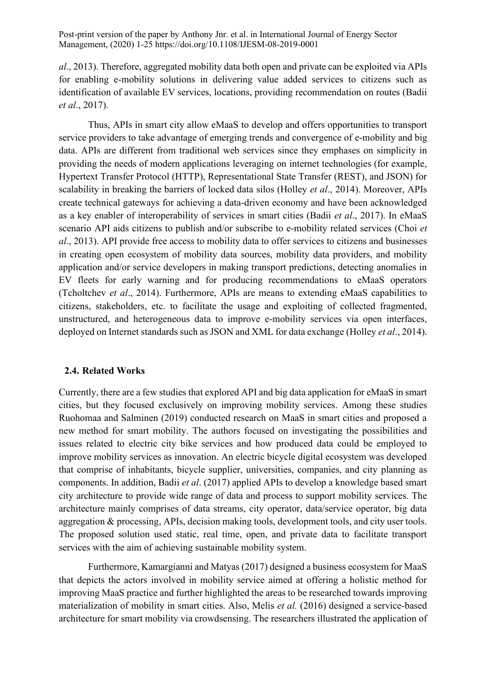*al*., 2013). Therefore, aggregated mobility data both open and private can be exploited via APIs for enabling e-mobility solutions in delivering value added services to citizens such as identification of available EV services, locations, providing recommendation on routes (Badii *et al*., 2017).

Thus, APIs in smart city allow eMaaS to develop and offers opportunities to transport service providers to take advantage of emerging trends and convergence of e-mobility and big data. APIs are different from traditional web services since they emphases on simplicity in providing the needs of modern applications leveraging on internet technologies (for example, Hypertext Transfer Protocol (HTTP), Representational State Transfer (REST), and JSON) for scalability in breaking the barriers of locked data silos (Holley *et al*., 2014). Moreover, APIs create technical gateways for achieving a data-driven economy and have been acknowledged as a key enabler of interoperability of services in smart cities (Badii *et al*., 2017). In eMaaS scenario API aids citizens to publish and/or subscribe to e-mobility related services (Choi *et al*., 2013). API provide free access to mobility data to offer services to citizens and businesses in creating open ecosystem of mobility data sources, mobility data providers, and mobility application and/or service developers in making transport predictions, detecting anomalies in EV fleets for early warning and for producing recommendations to eMaaS operators (Tcholtchev *et al*., 2014). Furthermore, APIs are means to extending eMaaS capabilities to citizens, stakeholders, etc. to facilitate the usage and exploiting of collected fragmented, unstructured, and heterogeneous data to improve e-mobility services via open interfaces, deployed on Internet standards such as JSON and XML for data exchange (Holley *et al*., 2014).

#### **2.4. Related Works**

Currently, there are a few studies that explored API and big data application for eMaaS in smart cities, but they focused exclusively on improving mobility services. Among these studies Ruohomaa and Salminen (2019) conducted research on MaaS in smart cities and proposed a new method for smart mobility. The authors focused on investigating the possibilities and issues related to electric city bike services and how produced data could be employed to improve mobility services as innovation. An electric bicycle digital ecosystem was developed that comprise of inhabitants, bicycle supplier, universities, companies, and city planning as components. In addition, Badii *et al*. (2017) applied APIs to develop a knowledge based smart city architecture to provide wide range of data and process to support mobility services. The architecture mainly comprises of data streams, city operator, data/service operator, big data aggregation & processing, APIs, decision making tools, development tools, and city user tools. The proposed solution used static, real time, open, and private data to facilitate transport services with the aim of achieving sustainable mobility system.

Furthermore, Kamargianni and Matyas (2017) designed a business ecosystem for MaaS that depicts the actors involved in mobility service aimed at offering a holistic method for improving MaaS practice and further highlighted the areas to be researched towards improving materialization of mobility in smart cities. Also, Melis *et al.* (2016) designed a service-based architecture for smart mobility via crowdsensing. The researchers illustrated the application of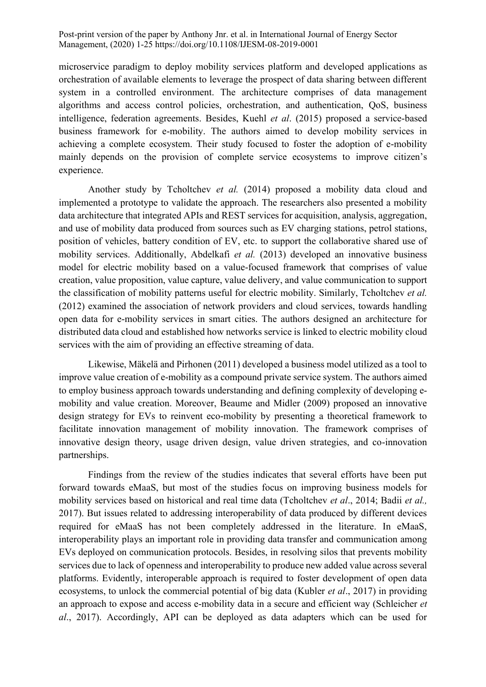microservice paradigm to deploy mobility services platform and developed applications as orchestration of available elements to leverage the prospect of data sharing between different system in a controlled environment. The architecture comprises of data management algorithms and access control policies, orchestration, and authentication, QoS, business intelligence, federation agreements. Besides, Kuehl *et al*. (2015) proposed a service-based business framework for e-mobility. The authors aimed to develop mobility services in achieving a complete ecosystem. Their study focused to foster the adoption of e-mobility mainly depends on the provision of complete service ecosystems to improve citizen's experience.

Another study by Tcholtchev *et al.* (2014) proposed a mobility data cloud and implemented a prototype to validate the approach. The researchers also presented a mobility data architecture that integrated APIs and REST services for acquisition, analysis, aggregation, and use of mobility data produced from sources such as EV charging stations, petrol stations, position of vehicles, battery condition of EV, etc. to support the collaborative shared use of mobility services. Additionally, Abdelkafi *et al.* (2013) developed an innovative business model for electric mobility based on a value-focused framework that comprises of value creation, value proposition, value capture, value delivery, and value communication to support the classification of mobility patterns useful for electric mobility. Similarly, Tcholtchev *et al.* (2012) examined the association of network providers and cloud services, towards handling open data for e-mobility services in smart cities. The authors designed an architecture for distributed data cloud and established how networks service is linked to electric mobility cloud services with the aim of providing an effective streaming of data.

Likewise, Mäkelä and Pirhonen (2011) developed a business model utilized as a tool to improve value creation of e-mobility as a compound private service system. The authors aimed to employ business approach towards understanding and defining complexity of developing emobility and value creation. Moreover, Beaume and Midler (2009) proposed an innovative design strategy for EVs to reinvent eco-mobility by presenting a theoretical framework to facilitate innovation management of mobility innovation. The framework comprises of innovative design theory, usage driven design, value driven strategies, and co-innovation partnerships.

Findings from the review of the studies indicates that several efforts have been put forward towards eMaaS, but most of the studies focus on improving business models for mobility services based on historical and real time data (Tcholtchev *et al*., 2014; Badii *et al.,* 2017). But issues related to addressing interoperability of data produced by different devices required for eMaaS has not been completely addressed in the literature. In eMaaS, interoperability plays an important role in providing data transfer and communication among EVs deployed on communication protocols. Besides, in resolving silos that prevents mobility services due to lack of openness and interoperability to produce new added value across several platforms. Evidently, interoperable approach is required to foster development of open data ecosystems, to unlock the commercial potential of big data (Kubler *et al*., 2017) in providing an approach to expose and access e-mobility data in a secure and efficient way (Schleicher *et al*., 2017). Accordingly, API can be deployed as data adapters which can be used for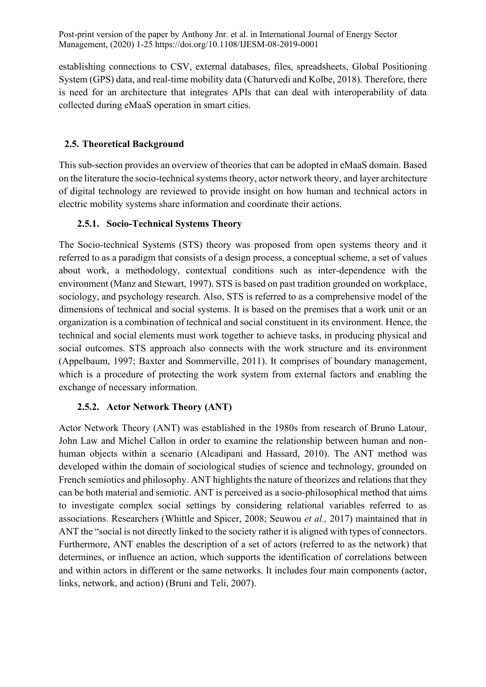establishing connections to CSV, external databases, files, spreadsheets, Global Positioning System (GPS) data, and real-time mobility data (Chaturvedi and Kolbe, 2018). Therefore, there is need for an architecture that integrates APIs that can deal with interoperability of data collected during eMaaS operation in smart cities.

### **2.5. Theoretical Background**

This sub-section provides an overview of theories that can be adopted in eMaaS domain. Based on the literature the socio-technical systems theory, actor network theory, and layer architecture of digital technology are reviewed to provide insight on how human and technical actors in electric mobility systems share information and coordinate their actions.

### **2.5.1. Socio-Technical Systems Theory**

The Socio-technical Systems (STS) theory was proposed from open systems theory and it referred to as a paradigm that consists of a design process, a conceptual scheme, a set of values about work, a methodology, contextual conditions such as inter-dependence with the environment (Manz and Stewart, 1997). STS is based on past tradition grounded on workplace, sociology, and psychology research. Also, STS is referred to as a comprehensive model of the dimensions of technical and social systems. It is based on the premises that a work unit or an organization is a combination of technical and social constituent in its environment. Hence, the technical and social elements must work together to achieve tasks, in producing physical and social outcomes. STS approach also connects with the work structure and its environment (Appelbaum, 1997; Baxter and Sommerville, 2011). It comprises of boundary management, which is a procedure of protecting the work system from external factors and enabling the exchange of necessary information.

### **2.5.2. Actor Network Theory (ANT)**

Actor Network Theory (ANT) was established in the 1980s from research of Bruno Latour, John Law and Michel Callon in order to examine the relationship between human and nonhuman objects within a scenario (Alcadipani and Hassard, 2010). The ANT method was developed within the domain of sociological studies of science and technology, grounded on French semiotics and philosophy. ANT highlights the nature of theorizes and relations that they can be both material and semiotic. ANT is perceived as a socio-philosophical method that aims to investigate complex social settings by considering relational variables referred to as associations. Researchers (Whittle and Spicer, 2008; Seuwou *et al.,* 2017) maintained that in ANT the "social is not directly linked to the society rather it is aligned with types of connectors. Furthermore, ANT enables the description of a set of actors (referred to as the network) that determines, or influence an action, which supports the identification of correlations between and within actors in different or the same networks. It includes four main components (actor, links, network, and action) (Bruni and Teli, 2007).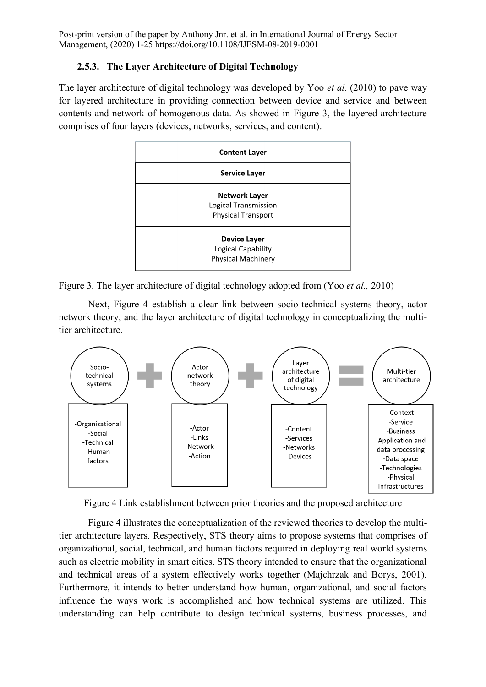### **2.5.3. The Layer Architecture of Digital Technology**

The layer architecture of digital technology was developed by Yoo *et al.* (2010) to pave way for layered architecture in providing connection between device and service and between contents and network of homogenous data. As showed in Figure 3, the layered architecture comprises of four layers (devices, networks, services, and content).



Figure 3. The layer architecture of digital technology adopted from (Yoo *et al.,* 2010)

Next, Figure 4 establish a clear link between socio-technical systems theory, actor network theory, and the layer architecture of digital technology in conceptualizing the multitier architecture.



Figure 4 Link establishment between prior theories and the proposed architecture

Figure 4 illustrates the conceptualization of the reviewed theories to develop the multitier architecture layers. Respectively, STS theory aims to propose systems that comprises of organizational, social, technical, and human factors required in deploying real world systems such as electric mobility in smart cities. STS theory intended to ensure that the organizational and technical areas of a system effectively works together (Majchrzak and Borys, 2001). Furthermore, it intends to better understand how human, organizational, and social factors influence the ways work is accomplished and how technical systems are utilized. This understanding can help contribute to design technical systems, business processes, and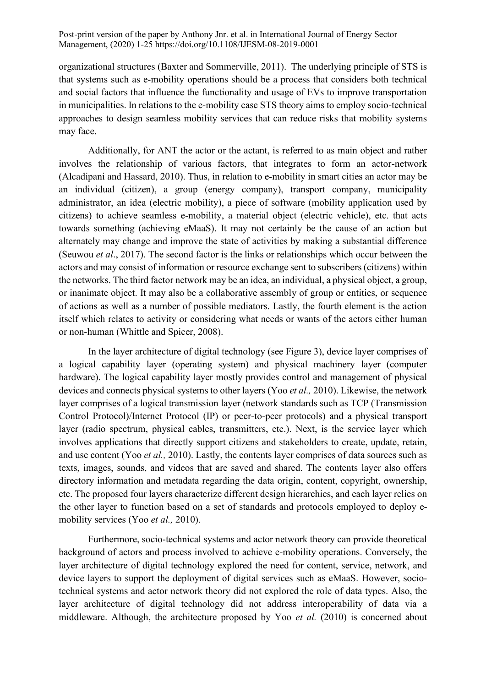organizational structures (Baxter and Sommerville, 2011). The underlying principle of STS is that systems such as e-mobility operations should be a process that considers both technical and social factors that influence the functionality and usage of EVs to improve transportation in municipalities. In relations to the e-mobility case STS theory aims to employ socio-technical approaches to design seamless mobility services that can reduce risks that mobility systems may face.

Additionally, for ANT the actor or the actant, is referred to as main object and rather involves the relationship of various factors, that integrates to form an actor-network (Alcadipani and Hassard, 2010). Thus, in relation to e-mobility in smart cities an actor may be an individual (citizen), a group (energy company), transport company, municipality administrator, an idea (electric mobility), a piece of software (mobility application used by citizens) to achieve seamless e-mobility, a material object (electric vehicle), etc. that acts towards something (achieving eMaaS). It may not certainly be the cause of an action but alternately may change and improve the state of activities by making a substantial difference (Seuwou *et al*., 2017). The second factor is the links or relationships which occur between the actors and may consist of information or resource exchange sent to subscribers (citizens) within the networks. The third factor network may be an idea, an individual, a physical object, a group, or inanimate object. It may also be a collaborative assembly of group or entities, or sequence of actions as well as a number of possible mediators. Lastly, the fourth element is the action itself which relates to activity or considering what needs or wants of the actors either human or non-human (Whittle and Spicer, 2008).

In the layer architecture of digital technology (see Figure 3), device layer comprises of a logical capability layer (operating system) and physical machinery layer (computer hardware). The logical capability layer mostly provides control and management of physical devices and connects physical systems to other layers (Yoo *et al.,* 2010). Likewise, the network layer comprises of a logical transmission layer (network standards such as TCP (Transmission Control Protocol)/Internet Protocol (IP) or peer-to-peer protocols) and a physical transport layer (radio spectrum, physical cables, transmitters, etc.). Next, is the service layer which involves applications that directly support citizens and stakeholders to create, update, retain, and use content (Yoo *et al.,* 2010). Lastly, the contents layer comprises of data sources such as texts, images, sounds, and videos that are saved and shared. The contents layer also offers directory information and metadata regarding the data origin, content, copyright, ownership, etc. The proposed four layers characterize different design hierarchies, and each layer relies on the other layer to function based on a set of standards and protocols employed to deploy emobility services (Yoo *et al.,* 2010).

Furthermore, socio-technical systems and actor network theory can provide theoretical background of actors and process involved to achieve e-mobility operations. Conversely, the layer architecture of digital technology explored the need for content, service, network, and device layers to support the deployment of digital services such as eMaaS. However, sociotechnical systems and actor network theory did not explored the role of data types. Also, the layer architecture of digital technology did not address interoperability of data via a middleware. Although, the architecture proposed by Yoo *et al.* (2010) is concerned about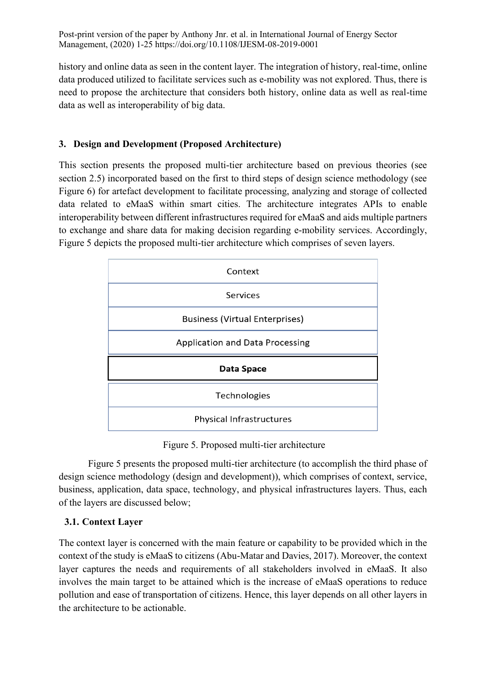history and online data as seen in the content layer. The integration of history, real-time, online data produced utilized to facilitate services such as e-mobility was not explored. Thus, there is need to propose the architecture that considers both history, online data as well as real-time data as well as interoperability of big data.

### **3. Design and Development (Proposed Architecture)**

This section presents the proposed multi-tier architecture based on previous theories (see section 2.5) incorporated based on the first to third steps of design science methodology (see Figure 6) for artefact development to facilitate processing, analyzing and storage of collected data related to eMaaS within smart cities. The architecture integrates APIs to enable interoperability between different infrastructures required for eMaaS and aids multiple partners to exchange and share data for making decision regarding e-mobility services. Accordingly, Figure 5 depicts the proposed multi-tier architecture which comprises of seven layers.



Figure 5. Proposed multi-tier architecture

Figure 5 presents the proposed multi-tier architecture (to accomplish the third phase of design science methodology (design and development)), which comprises of context, service, business, application, data space, technology, and physical infrastructures layers. Thus, each of the layers are discussed below;

### **3.1. Context Layer**

The context layer is concerned with the main feature or capability to be provided which in the context of the study is eMaaS to citizens (Abu-Matar and Davies, 2017). Moreover, the context layer captures the needs and requirements of all stakeholders involved in eMaaS. It also involves the main target to be attained which is the increase of eMaaS operations to reduce pollution and ease of transportation of citizens. Hence, this layer depends on all other layers in the architecture to be actionable.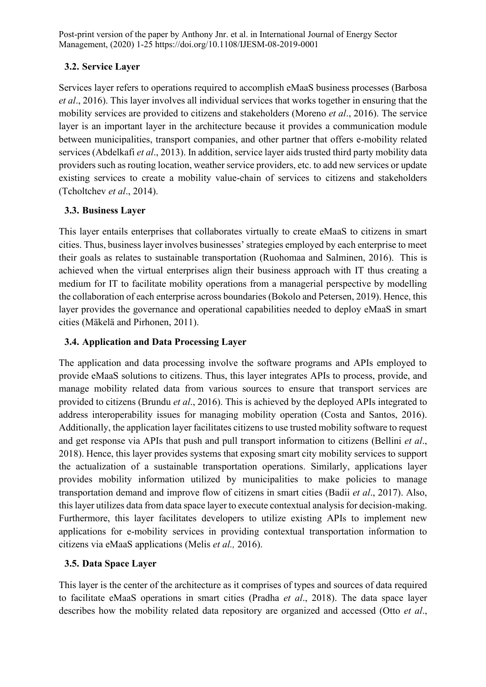## **3.2. Service Layer**

Services layer refers to operations required to accomplish eMaaS business processes (Barbosa *et al*., 2016). This layer involves all individual services that works together in ensuring that the mobility services are provided to citizens and stakeholders (Moreno *et al*., 2016). The service layer is an important layer in the architecture because it provides a communication module between municipalities, transport companies, and other partner that offers e-mobility related services (Abdelkafi *et al*., 2013). In addition, service layer aids trusted third party mobility data providers such as routing location, weather service providers, etc. to add new services or update existing services to create a mobility value-chain of services to citizens and stakeholders (Tcholtchev *et al*., 2014).

## **3.3. Business Layer**

This layer entails enterprises that collaborates virtually to create eMaaS to citizens in smart cities. Thus, business layer involves businesses' strategies employed by each enterprise to meet their goals as relates to sustainable transportation (Ruohomaa and Salminen, 2016). This is achieved when the virtual enterprises align their business approach with IT thus creating a medium for IT to facilitate mobility operations from a managerial perspective by modelling the collaboration of each enterprise across boundaries (Bokolo and Petersen, 2019). Hence, this layer provides the governance and operational capabilities needed to deploy eMaaS in smart cities (Mäkelä and Pirhonen, 2011).

# **3.4. Application and Data Processing Layer**

The application and data processing involve the software programs and APIs employed to provide eMaaS solutions to citizens. Thus, this layer integrates APIs to process, provide, and manage mobility related data from various sources to ensure that transport services are provided to citizens (Brundu *et al*., 2016). This is achieved by the deployed APIs integrated to address interoperability issues for managing mobility operation (Costa and Santos, 2016). Additionally, the application layer facilitates citizens to use trusted mobility software to request and get response via APIs that push and pull transport information to citizens (Bellini *et al*., 2018). Hence, this layer provides systems that exposing smart city mobility services to support the actualization of a sustainable transportation operations. Similarly, applications layer provides mobility information utilized by municipalities to make policies to manage transportation demand and improve flow of citizens in smart cities (Badii *et al*., 2017). Also, this layer utilizes data from data space layer to execute contextual analysis for decision-making. Furthermore, this layer facilitates developers to utilize existing APIs to implement new applications for e-mobility services in providing contextual transportation information to citizens via eMaaS applications (Melis *et al.,* 2016).

# **3.5. Data Space Layer**

This layer is the center of the architecture as it comprises of types and sources of data required to facilitate eMaaS operations in smart cities (Pradha *et al*., 2018). The data space layer describes how the mobility related data repository are organized and accessed (Otto *et al*.,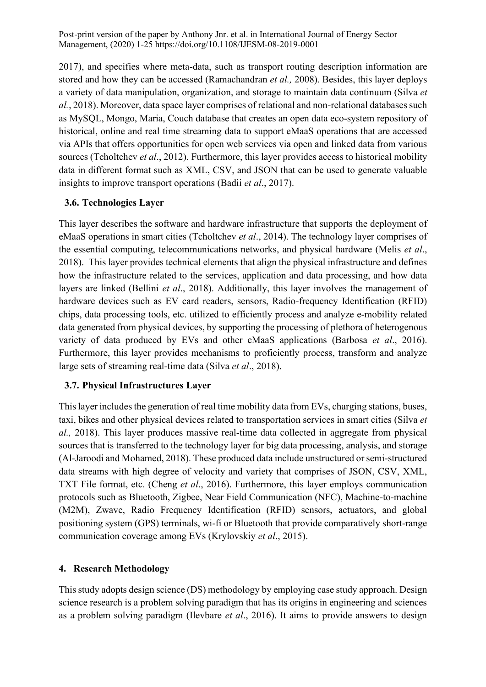2017), and specifies where meta-data, such as transport routing description information are stored and how they can be accessed (Ramachandran *et al.,* 2008). Besides, this layer deploys a variety of data manipulation, organization, and storage to maintain data continuum (Silva *et al.*, 2018). Moreover, data space layer comprises of relational and non-relational databases such as MySQL, Mongo, Maria, Couch database that creates an open data eco-system repository of historical, online and real time streaming data to support eMaaS operations that are accessed via APIs that offers opportunities for open web services via open and linked data from various sources (Tcholtchev *et al*., 2012). Furthermore, this layer provides access to historical mobility data in different format such as XML, CSV, and JSON that can be used to generate valuable insights to improve transport operations (Badii *et al*., 2017).

### **3.6. Technologies Layer**

This layer describes the software and hardware infrastructure that supports the deployment of eMaaS operations in smart cities (Tcholtchev *et al*., 2014). The technology layer comprises of the essential computing, telecommunications networks, and physical hardware (Melis *et al*., 2018). This layer provides technical elements that align the physical infrastructure and defines how the infrastructure related to the services, application and data processing, and how data layers are linked (Bellini *et al*., 2018). Additionally, this layer involves the management of hardware devices such as EV card readers, sensors, Radio-frequency Identification (RFID) chips, data processing tools, etc. utilized to efficiently process and analyze e-mobility related data generated from physical devices, by supporting the processing of plethora of heterogenous variety of data produced by EVs and other eMaaS applications (Barbosa *et al*., 2016). Furthermore, this layer provides mechanisms to proficiently process, transform and analyze large sets of streaming real-time data (Silva *et al*., 2018).

### **3.7. Physical Infrastructures Layer**

This layer includes the generation of real time mobility data from EVs, charging stations, buses, taxi, bikes and other physical devices related to transportation services in smart cities (Silva *et al.,* 2018). This layer produces massive real-time data collected in aggregate from physical sources that is transferred to the technology layer for big data processing, analysis, and storage (Al-Jaroodi and Mohamed, 2018). These produced data include unstructured or semi-structured data streams with high degree of velocity and variety that comprises of JSON, CSV, XML, TXT File format, etc. (Cheng *et al*., 2016). Furthermore, this layer employs communication protocols such as Bluetooth, Zigbee, Near Field Communication (NFC), Machine-to-machine (M2M), Zwave, Radio Frequency Identification (RFID) sensors, actuators, and global positioning system (GPS) terminals, wi-fi or Bluetooth that provide comparatively short-range communication coverage among EVs (Krylovskiy *et al*., 2015).

#### **4. Research Methodology**

This study adopts design science (DS) methodology by employing case study approach. Design science research is a problem solving paradigm that has its origins in engineering and sciences as a problem solving paradigm (Ilevbare *et al*., 2016). It aims to provide answers to design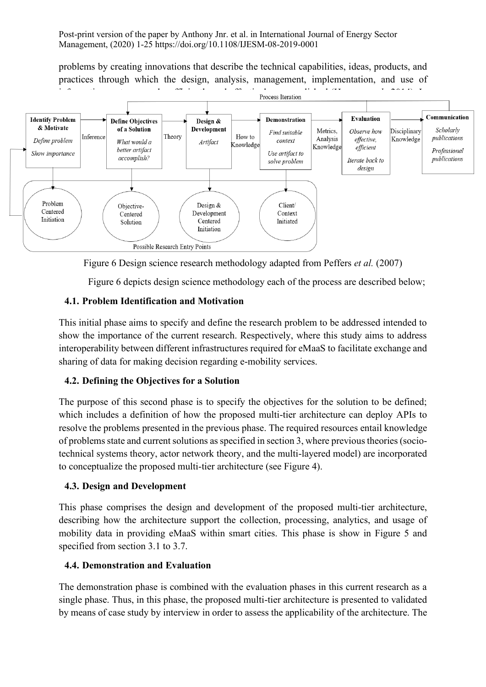problems by creating innovations that describe the technical capabilities, ideas, products, and practices through which the design, analysis, management, implementation, and use of



Figure 6 Design science research methodology adapted from Peffers *et al.* (2007)

Figure 6 depicts design science methodology each of the process are described below;

### **4.1. Problem Identification and Motivation**

This initial phase aims to specify and define the research problem to be addressed intended to show the importance of the current research. Respectively, where this study aims to address interoperability between different infrastructures required for eMaaS to facilitate exchange and sharing of data for making decision regarding e-mobility services.

#### **4.2. Defining the Objectives for a Solution**

The purpose of this second phase is to specify the objectives for the solution to be defined; which includes a definition of how the proposed multi-tier architecture can deploy APIs to resolve the problems presented in the previous phase. The required resources entail knowledge of problems state and current solutions as specified in section 3, where previous theories (sociotechnical systems theory, actor network theory, and the multi-layered model) are incorporated to conceptualize the proposed multi-tier architecture (see Figure 4).

#### **4.3. Design and Development**

This phase comprises the design and development of the proposed multi-tier architecture, describing how the architecture support the collection, processing, analytics, and usage of mobility data in providing eMaaS within smart cities. This phase is show in Figure 5 and specified from section 3.1 to 3.7.

#### **4.4. Demonstration and Evaluation**

The demonstration phase is combined with the evaluation phases in this current research as a single phase. Thus, in this phase, the proposed multi-tier architecture is presented to validated by means of case study by interview in order to assess the applicability of the architecture. The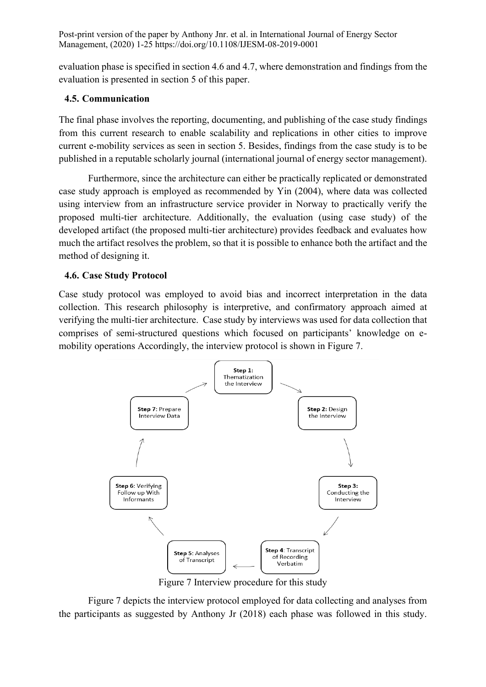evaluation phase is specified in section 4.6 and 4.7, where demonstration and findings from the evaluation is presented in section 5 of this paper.

### **4.5. Communication**

The final phase involves the reporting, documenting, and publishing of the case study findings from this current research to enable scalability and replications in other cities to improve current e-mobility services as seen in section 5. Besides, findings from the case study is to be published in a reputable scholarly journal (international journal of energy sector management).

Furthermore, since the architecture can either be practically replicated or demonstrated case study approach is employed as recommended by Yin (2004), where data was collected using interview from an infrastructure service provider in Norway to practically verify the proposed multi-tier architecture. Additionally, the evaluation (using case study) of the developed artifact (the proposed multi-tier architecture) provides feedback and evaluates how much the artifact resolves the problem, so that it is possible to enhance both the artifact and the method of designing it.

### **4.6. Case Study Protocol**

Case study protocol was employed to avoid bias and incorrect interpretation in the data collection. This research philosophy is interpretive, and confirmatory approach aimed at verifying the multi-tier architecture. Case study by interviews was used for data collection that comprises of semi-structured questions which focused on participants' knowledge on emobility operations Accordingly, the interview protocol is shown in Figure 7.



Figure 7 Interview procedure for this study

Figure 7 depicts the interview protocol employed for data collecting and analyses from the participants as suggested by Anthony Jr (2018) each phase was followed in this study.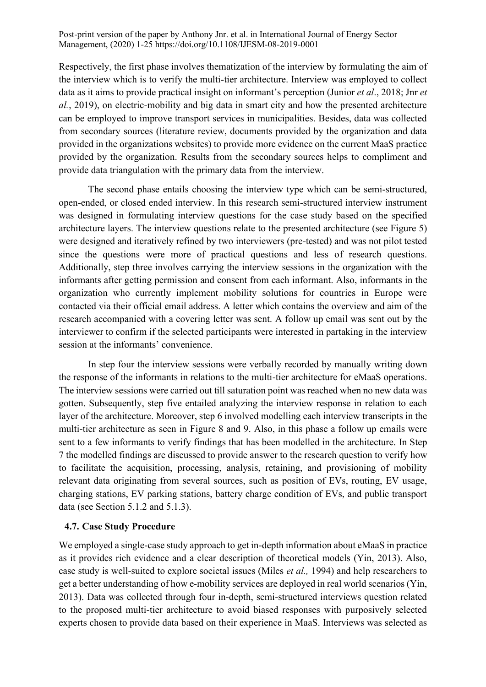Respectively, the first phase involves thematization of the interview by formulating the aim of the interview which is to verify the multi-tier architecture. Interview was employed to collect data as it aims to provide practical insight on informant's perception (Junior *et al*., 2018; Jnr *et al.*, 2019), on electric-mobility and big data in smart city and how the presented architecture can be employed to improve transport services in municipalities. Besides, data was collected from secondary sources (literature review, documents provided by the organization and data provided in the organizations websites) to provide more evidence on the current MaaS practice provided by the organization. Results from the secondary sources helps to compliment and provide data triangulation with the primary data from the interview.

The second phase entails choosing the interview type which can be semi-structured, open-ended, or closed ended interview. In this research semi-structured interview instrument was designed in formulating interview questions for the case study based on the specified architecture layers. The interview questions relate to the presented architecture (see Figure 5) were designed and iteratively refined by two interviewers (pre-tested) and was not pilot tested since the questions were more of practical questions and less of research questions. Additionally, step three involves carrying the interview sessions in the organization with the informants after getting permission and consent from each informant. Also, informants in the organization who currently implement mobility solutions for countries in Europe were contacted via their official email address. A letter which contains the overview and aim of the research accompanied with a covering letter was sent. A follow up email was sent out by the interviewer to confirm if the selected participants were interested in partaking in the interview session at the informants' convenience.

In step four the interview sessions were verbally recorded by manually writing down the response of the informants in relations to the multi-tier architecture for eMaaS operations. The interview sessions were carried out till saturation point was reached when no new data was gotten. Subsequently, step five entailed analyzing the interview response in relation to each layer of the architecture. Moreover, step 6 involved modelling each interview transcripts in the multi-tier architecture as seen in Figure 8 and 9. Also, in this phase a follow up emails were sent to a few informants to verify findings that has been modelled in the architecture. In Step 7 the modelled findings are discussed to provide answer to the research question to verify how to facilitate the acquisition, processing, analysis, retaining, and provisioning of mobility relevant data originating from several sources, such as position of EVs, routing, EV usage, charging stations, EV parking stations, battery charge condition of EVs, and public transport data (see Section 5.1.2 and 5.1.3).

#### **4.7. Case Study Procedure**

We employed a single-case study approach to get in-depth information about eMaaS in practice as it provides rich evidence and a clear description of theoretical models (Yin, 2013). Also, case study is well-suited to explore societal issues (Miles *et al.,* 1994) and help researchers to get a better understanding of how e-mobility services are deployed in real world scenarios (Yin, 2013). Data was collected through four in-depth, semi-structured interviews question related to the proposed multi-tier architecture to avoid biased responses with purposively selected experts chosen to provide data based on their experience in MaaS. Interviews was selected as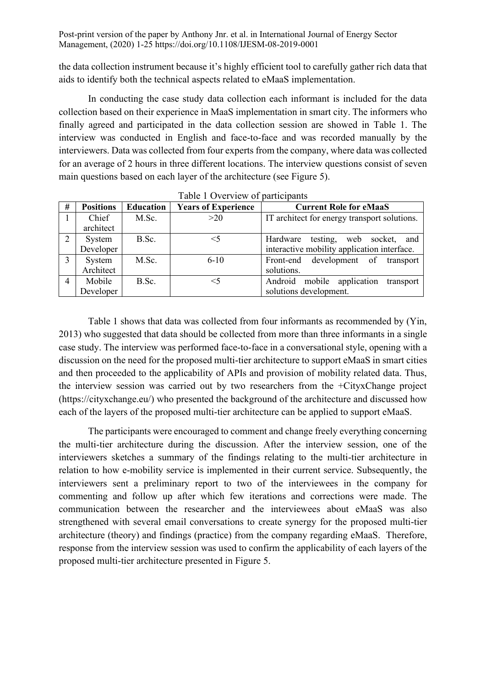the data collection instrument because it's highly efficient tool to carefully gather rich data that aids to identify both the technical aspects related to eMaaS implementation.

In conducting the case study data collection each informant is included for the data collection based on their experience in MaaS implementation in smart city. The informers who finally agreed and participated in the data collection session are showed in Table 1. The interview was conducted in English and face-to-face and was recorded manually by the interviewers. Data was collected from four experts from the company, where data was collected for an average of 2 hours in three different locations. The interview questions consist of seven main questions based on each layer of the architecture (see Figure 5).

|                |                  |                  | Table T OVERVIEW OF Barticleanity |                                              |
|----------------|------------------|------------------|-----------------------------------|----------------------------------------------|
| #              | <b>Positions</b> | <b>Education</b> | <b>Years of Experience</b>        | <b>Current Role for eMaaS</b>                |
|                | Chief            | M.Sc.            | >20                               | IT architect for energy transport solutions. |
|                | architect        |                  |                                   |                                              |
| 2              | System           | B.Sc.            | $<$ 5                             | testing, web socket,<br>Hardware<br>and      |
|                | Developer        |                  |                                   | interactive mobility application interface.  |
| 3              | System           | M.Sc.            | $6 - 10$                          | Front-end development of transport           |
|                | Architect        |                  |                                   | solutions.                                   |
| $\overline{4}$ | Mobile           | B.Sc.            | $<$ 5                             | Android mobile application<br>transport      |
|                | Developer        |                  |                                   | solutions development.                       |

Table 1 Overview of participants

Table 1 shows that data was collected from four informants as recommended by (Yin, 2013) who suggested that data should be collected from more than three informants in a single case study. The interview was performed face-to-face in a conversational style, opening with a discussion on the need for the proposed multi-tier architecture to support eMaaS in smart cities and then proceeded to the applicability of APIs and provision of mobility related data. Thus, the interview session was carried out by two researchers from the +CityxChange project (https://cityxchange.eu/) who presented the background of the architecture and discussed how each of the layers of the proposed multi-tier architecture can be applied to support eMaaS.

The participants were encouraged to comment and change freely everything concerning the multi-tier architecture during the discussion. After the interview session, one of the interviewers sketches a summary of the findings relating to the multi-tier architecture in relation to how e-mobility service is implemented in their current service. Subsequently, the interviewers sent a preliminary report to two of the interviewees in the company for commenting and follow up after which few iterations and corrections were made. The communication between the researcher and the interviewees about eMaaS was also strengthened with several email conversations to create synergy for the proposed multi-tier architecture (theory) and findings (practice) from the company regarding eMaaS. Therefore, response from the interview session was used to confirm the applicability of each layers of the proposed multi-tier architecture presented in Figure 5.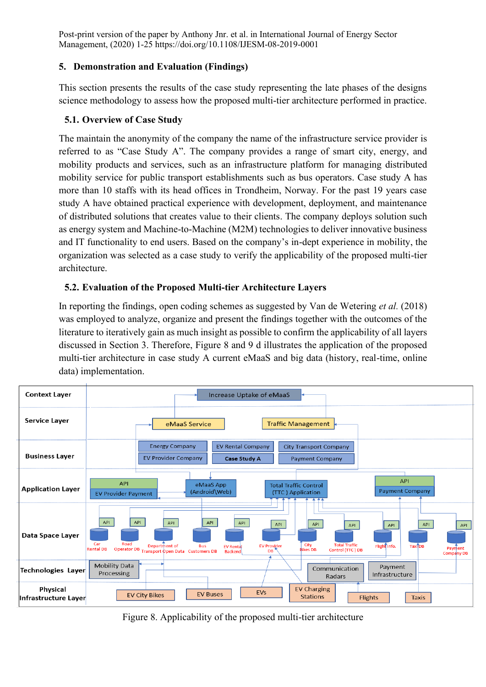### **5. Demonstration and Evaluation (Findings)**

This section presents the results of the case study representing the late phases of the designs science methodology to assess how the proposed multi-tier architecture performed in practice.

## **5.1. Overview of Case Study**

The maintain the anonymity of the company the name of the infrastructure service provider is referred to as "Case Study A". The company provides a range of smart city, energy, and mobility products and services, such as an infrastructure platform for managing distributed mobility service for public transport establishments such as bus operators. Case study A has more than 10 staffs with its head offices in Trondheim, Norway. For the past 19 years case study A have obtained practical experience with development, deployment, and maintenance of distributed solutions that creates value to their clients. The company deploys solution such as energy system and Machine-to-Machine (M2M) technologies to deliver innovative business and IT functionality to end users. Based on the company's in-dept experience in mobility, the organization was selected as a case study to verify the applicability of the proposed multi-tier architecture.

## **5.2. Evaluation of the Proposed Multi-tier Architecture Layers**

In reporting the findings, open coding schemes as suggested by Van de Wetering *et al.* (2018) was employed to analyze, organize and present the findings together with the outcomes of the literature to iteratively gain as much insight as possible to confirm the applicability of all layers discussed in Section 3. Therefore, Figure 8 and 9 d illustrates the application of the proposed multi-tier architecture in case study A current eMaaS and big data (history, real-time, online data) implementation.



Figure 8. Applicability of the proposed multi-tier architecture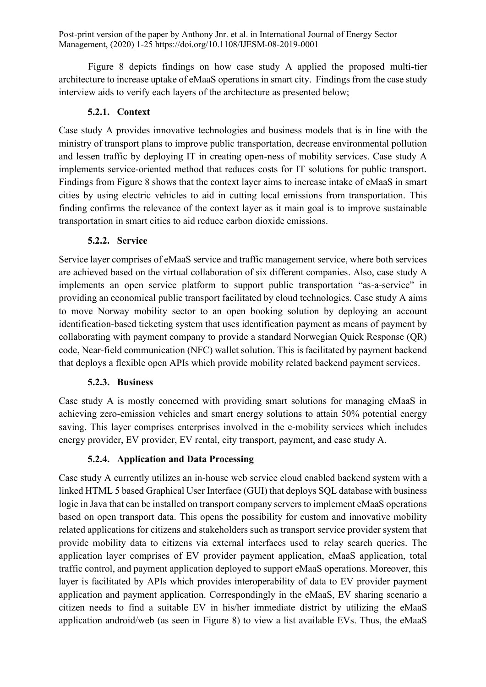Figure 8 depicts findings on how case study A applied the proposed multi-tier architecture to increase uptake of eMaaS operations in smart city. Findings from the case study interview aids to verify each layers of the architecture as presented below;

### **5.2.1. Context**

Case study A provides innovative technologies and business models that is in line with the ministry of transport plans to improve public transportation, decrease environmental pollution and lessen traffic by deploying IT in creating open-ness of mobility services. Case study A implements service-oriented method that reduces costs for IT solutions for public transport. Findings from Figure 8 shows that the context layer aims to increase intake of eMaaS in smart cities by using electric vehicles to aid in cutting local emissions from transportation. This finding confirms the relevance of the context layer as it main goal is to improve sustainable transportation in smart cities to aid reduce carbon dioxide emissions.

### **5.2.2. Service**

Service layer comprises of eMaaS service and traffic management service, where both services are achieved based on the virtual collaboration of six different companies. Also, case study A implements an open service platform to support public transportation "as-a-service" in providing an economical public transport facilitated by cloud technologies. Case study A aims to move Norway mobility sector to an open booking solution by deploying an account identification-based ticketing system that uses identification payment as means of payment by collaborating with payment company to provide a standard Norwegian Quick Response (QR) code, Near-field communication (NFC) wallet solution. This is facilitated by payment backend that deploys a flexible open APIs which provide mobility related backend payment services.

### **5.2.3. Business**

Case study A is mostly concerned with providing smart solutions for managing eMaaS in achieving zero-emission vehicles and smart energy solutions to attain 50% potential energy saving. This layer comprises enterprises involved in the e-mobility services which includes energy provider, EV provider, EV rental, city transport, payment, and case study A.

# **5.2.4. Application and Data Processing**

Case study A currently utilizes an in-house web service cloud enabled backend system with a linked HTML 5 based Graphical User Interface (GUI) that deploys SQL database with business logic in Java that can be installed on transport company servers to implement eMaaS operations based on open transport data. This opens the possibility for custom and innovative mobility related applications for citizens and stakeholders such as transport service provider system that provide mobility data to citizens via external interfaces used to relay search queries. The application layer comprises of EV provider payment application, eMaaS application, total traffic control, and payment application deployed to support eMaaS operations. Moreover, this layer is facilitated by APIs which provides interoperability of data to EV provider payment application and payment application. Correspondingly in the eMaaS, EV sharing scenario a citizen needs to find a suitable EV in his/her immediate district by utilizing the eMaaS application android/web (as seen in Figure 8) to view a list available EVs. Thus, the eMaaS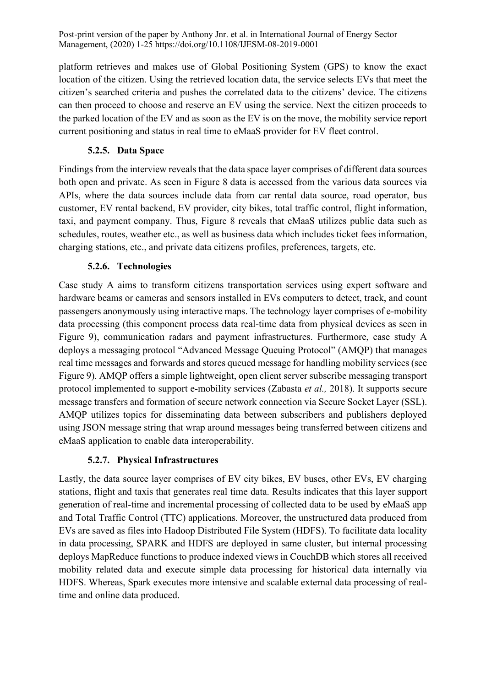platform retrieves and makes use of Global Positioning System (GPS) to know the exact location of the citizen. Using the retrieved location data, the service selects EVs that meet the citizen's searched criteria and pushes the correlated data to the citizens' device. The citizens can then proceed to choose and reserve an EV using the service. Next the citizen proceeds to the parked location of the EV and as soon as the EV is on the move, the mobility service report current positioning and status in real time to eMaaS provider for EV fleet control.

## **5.2.5. Data Space**

Findings from the interview reveals that the data space layer comprises of different data sources both open and private. As seen in Figure 8 data is accessed from the various data sources via APIs, where the data sources include data from car rental data source, road operator, bus customer, EV rental backend, EV provider, city bikes, total traffic control, flight information, taxi, and payment company. Thus, Figure 8 reveals that eMaaS utilizes public data such as schedules, routes, weather etc., as well as business data which includes ticket fees information, charging stations, etc., and private data citizens profiles, preferences, targets, etc.

## **5.2.6. Technologies**

Case study A aims to transform citizens transportation services using expert software and hardware beams or cameras and sensors installed in EVs computers to detect, track, and count passengers anonymously using interactive maps. The technology layer comprises of e-mobility data processing (this component process data real-time data from physical devices as seen in Figure 9), communication radars and payment infrastructures. Furthermore, case study A deploys a messaging protocol "Advanced Message Queuing Protocol" (AMQP) that manages real time messages and forwards and stores queued message for handling mobility services (see Figure 9). AMQP offers a simple lightweight, open client server subscribe messaging transport protocol implemented to support e-mobility services (Zabasta *et al.,* 2018). It supports secure message transfers and formation of secure network connection via Secure Socket Layer (SSL). AMQP utilizes topics for disseminating data between subscribers and publishers deployed using JSON message string that wrap around messages being transferred between citizens and eMaaS application to enable data interoperability.

### **5.2.7. Physical Infrastructures**

Lastly, the data source layer comprises of EV city bikes, EV buses, other EVs, EV charging stations, flight and taxis that generates real time data. Results indicates that this layer support generation of real-time and incremental processing of collected data to be used by eMaaS app and Total Traffic Control (TTC) applications. Moreover, the unstructured data produced from EVs are saved as files into Hadoop Distributed File System (HDFS). To facilitate data locality in data processing, SPARK and HDFS are deployed in same cluster, but internal processing deploys MapReduce functions to produce indexed views in CouchDB which stores all received mobility related data and execute simple data processing for historical data internally via HDFS. Whereas, Spark executes more intensive and scalable external data processing of realtime and online data produced.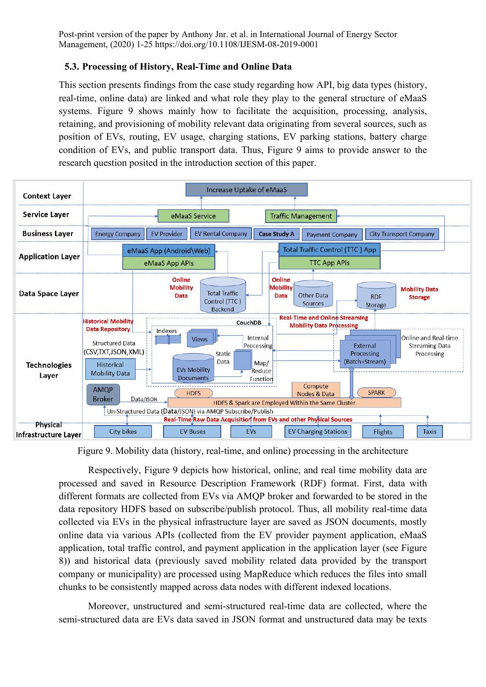### **5.3. Processing of History, Real-Time and Online Data**

This section presents findings from the case study regarding how API, big data types (history, real-time, online data) are linked and what role they play to the general structure of eMaaS systems. Figure 9 shows mainly how to facilitate the acquisition, processing, analysis, retaining, and provisioning of mobility relevant data originating from several sources, such as position of EVs, routing, EV usage, charging stations, EV parking stations, battery charge condition of EVs, and public transport data. Thus, Figure 9 aims to provide answer to the research question posited in the introduction section of this paper.



Figure 9. Mobility data (history, real-time, and online) processing in the architecture

Respectively, Figure 9 depicts how historical, online, and real time mobility data are processed and saved in Resource Description Framework (RDF) format. First, data with different formats are collected from EVs via AMQP broker and forwarded to be stored in the data repository HDFS based on subscribe/publish protocol. Thus, all mobility real-time data collected via EVs in the physical infrastructure layer are saved as JSON documents, mostly online data via various APIs (collected from the EV provider payment application, eMaaS application, total traffic control, and payment application in the application layer (see Figure 8)) and historical data (previously saved mobility related data provided by the transport company or municipality) are processed using MapReduce which reduces the files into small chunks to be consistently mapped across data nodes with different indexed locations.

Moreover, unstructured and semi-structured real-time data are collected, where the semi-structured data are EVs data saved in JSON format and unstructured data may be texts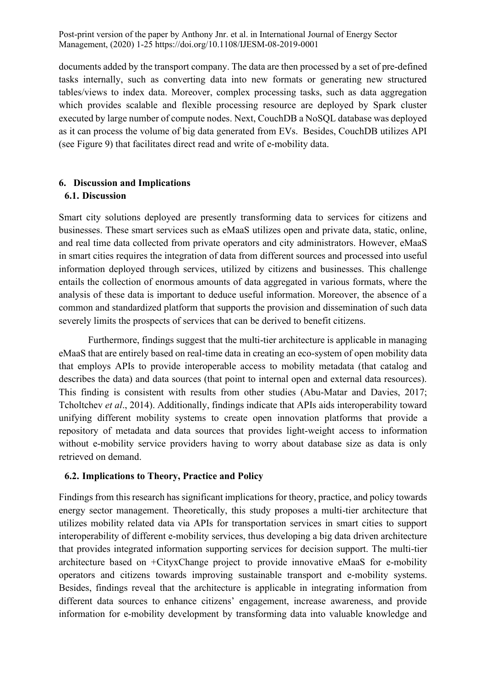documents added by the transport company. The data are then processed by a set of pre-defined tasks internally, such as converting data into new formats or generating new structured tables/views to index data. Moreover, complex processing tasks, such as data aggregation which provides scalable and flexible processing resource are deployed by Spark cluster executed by large number of compute nodes. Next, CouchDB a NoSQL database was deployed as it can process the volume of big data generated from EVs. Besides, CouchDB utilizes API (see Figure 9) that facilitates direct read and write of e-mobility data.

### **6. Discussion and Implications**

#### **6.1. Discussion**

Smart city solutions deployed are presently transforming data to services for citizens and businesses. These smart services such as eMaaS utilizes open and private data, static, online, and real time data collected from private operators and city administrators. However, eMaaS in smart cities requires the integration of data from different sources and processed into useful information deployed through services, utilized by citizens and businesses. This challenge entails the collection of enormous amounts of data aggregated in various formats, where the analysis of these data is important to deduce useful information. Moreover, the absence of a common and standardized platform that supports the provision and dissemination of such data severely limits the prospects of services that can be derived to benefit citizens.

Furthermore, findings suggest that the multi-tier architecture is applicable in managing eMaaS that are entirely based on real-time data in creating an eco-system of open mobility data that employs APIs to provide interoperable access to mobility metadata (that catalog and describes the data) and data sources (that point to internal open and external data resources). This finding is consistent with results from other studies (Abu-Matar and Davies, 2017; Tcholtchev *et al*., 2014). Additionally, findings indicate that APIs aids interoperability toward unifying different mobility systems to create open innovation platforms that provide a repository of metadata and data sources that provides light-weight access to information without e-mobility service providers having to worry about database size as data is only retrieved on demand.

#### **6.2. Implications to Theory, Practice and Policy**

Findings from this research has significant implications for theory, practice, and policy towards energy sector management. Theoretically, this study proposes a multi-tier architecture that utilizes mobility related data via APIs for transportation services in smart cities to support interoperability of different e-mobility services, thus developing a big data driven architecture that provides integrated information supporting services for decision support. The multi-tier architecture based on +CityxChange project to provide innovative eMaaS for e-mobility operators and citizens towards improving sustainable transport and e-mobility systems. Besides, findings reveal that the architecture is applicable in integrating information from different data sources to enhance citizens' engagement, increase awareness, and provide information for e-mobility development by transforming data into valuable knowledge and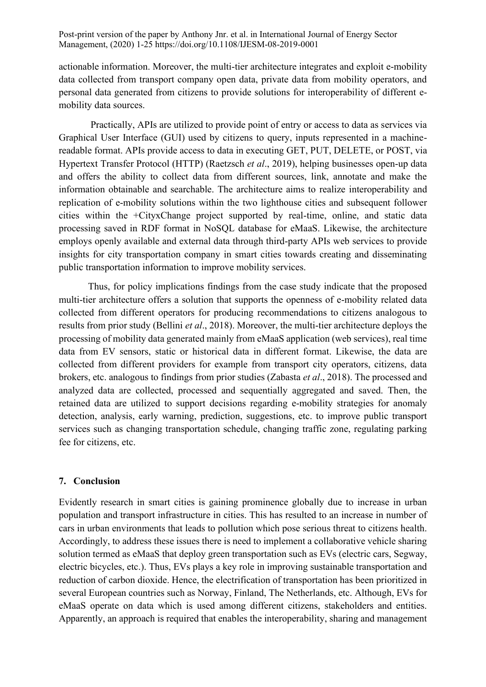actionable information. Moreover, the multi-tier architecture integrates and exploit e-mobility data collected from transport company open data, private data from mobility operators, and personal data generated from citizens to provide solutions for interoperability of different emobility data sources.

Practically, APIs are utilized to provide point of entry or access to data as services via Graphical User Interface (GUI) used by citizens to query, inputs represented in a machinereadable format. APIs provide access to data in executing GET, PUT, DELETE, or POST, via Hypertext Transfer Protocol (HTTP) (Raetzsch *et al*., 2019), helping businesses open-up data and offers the ability to collect data from different sources, link, annotate and make the information obtainable and searchable. The architecture aims to realize interoperability and replication of e-mobility solutions within the two lighthouse cities and subsequent follower cities within the +CityxChange project supported by real-time, online, and static data processing saved in RDF format in NoSQL database for eMaaS. Likewise, the architecture employs openly available and external data through third-party APIs web services to provide insights for city transportation company in smart cities towards creating and disseminating public transportation information to improve mobility services.

Thus, for policy implications findings from the case study indicate that the proposed multi-tier architecture offers a solution that supports the openness of e-mobility related data collected from different operators for producing recommendations to citizens analogous to results from prior study (Bellini *et al*., 2018). Moreover, the multi-tier architecture deploys the processing of mobility data generated mainly from eMaaS application (web services), real time data from EV sensors, static or historical data in different format. Likewise, the data are collected from different providers for example from transport city operators, citizens, data brokers, etc. analogous to findings from prior studies (Zabasta *et al*., 2018). The processed and analyzed data are collected, processed and sequentially aggregated and saved. Then, the retained data are utilized to support decisions regarding e-mobility strategies for anomaly detection, analysis, early warning, prediction, suggestions, etc. to improve public transport services such as changing transportation schedule, changing traffic zone, regulating parking fee for citizens, etc.

#### **7. Conclusion**

Evidently research in smart cities is gaining prominence globally due to increase in urban population and transport infrastructure in cities. This has resulted to an increase in number of cars in urban environments that leads to pollution which pose serious threat to citizens health. Accordingly, to address these issues there is need to implement a collaborative vehicle sharing solution termed as eMaaS that deploy green transportation such as EVs (electric cars, Segway, electric bicycles, etc.). Thus, EVs plays a key role in improving sustainable transportation and reduction of carbon dioxide. Hence, the electrification of transportation has been prioritized in several European countries such as Norway, Finland, The Netherlands, etc. Although, EVs for eMaaS operate on data which is used among different citizens, stakeholders and entities. Apparently, an approach is required that enables the interoperability, sharing and management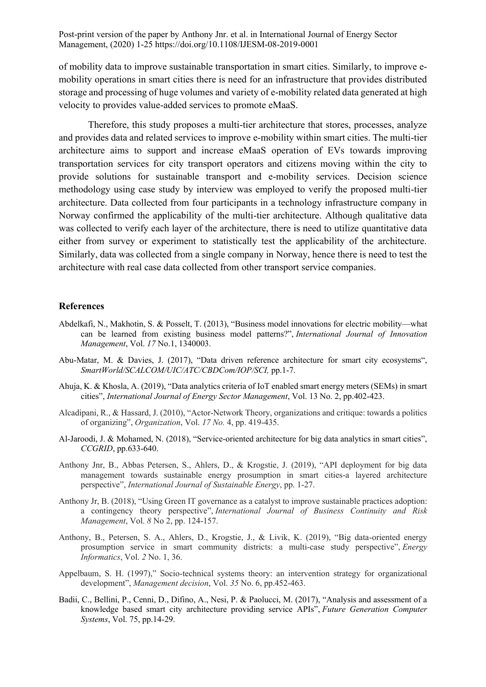of mobility data to improve sustainable transportation in smart cities. Similarly, to improve emobility operations in smart cities there is need for an infrastructure that provides distributed storage and processing of huge volumes and variety of e-mobility related data generated at high velocity to provides value-added services to promote eMaaS.

Therefore, this study proposes a multi-tier architecture that stores, processes, analyze and provides data and related services to improve e-mobility within smart cities. The multi-tier architecture aims to support and increase eMaaS operation of EVs towards improving transportation services for city transport operators and citizens moving within the city to provide solutions for sustainable transport and e-mobility services. Decision science methodology using case study by interview was employed to verify the proposed multi-tier architecture. Data collected from four participants in a technology infrastructure company in Norway confirmed the applicability of the multi-tier architecture. Although qualitative data was collected to verify each layer of the architecture, there is need to utilize quantitative data either from survey or experiment to statistically test the applicability of the architecture. Similarly, data was collected from a single company in Norway, hence there is need to test the architecture with real case data collected from other transport service companies.

#### **References**

- Abdelkafi, N., Makhotin, S. & Posselt, T. (2013), "Business model innovations for electric mobility—what can be learned from existing business model patterns?", *International Journal of Innovation Management*, Vol. *17* No.1, 1340003.
- Abu-Matar, M. & Davies, J. (2017), "Data driven reference architecture for smart city ecosystems", *SmartWorld/SCALCOM/UIC/ATC/CBDCom/IOP/SCI,* pp.1-7.
- Ahuja, K. & Khosla, A. (2019), "Data analytics criteria of IoT enabled smart energy meters (SEMs) in smart cities", *International Journal of Energy Sector Management*, Vol. 13 No. 2, pp.402-423.
- Alcadipani, R., & Hassard, J. (2010), "Actor-Network Theory, organizations and critique: towards a politics of organizing", *Organization*, Vol. *17 No.* 4, pp. 419-435.
- Al-Jaroodi, J. & Mohamed, N. (2018), "Service-oriented architecture for big data analytics in smart cities", *CCGRID*, pp.633-640.
- Anthony Jnr, B., Abbas Petersen, S., Ahlers, D., & Krogstie, J. (2019), "API deployment for big data management towards sustainable energy prosumption in smart cities-a layered architecture perspective", *International Journal of Sustainable Energy*, pp. 1-27.
- Anthony Jr, B. (2018), "Using Green IT governance as a catalyst to improve sustainable practices adoption: a contingency theory perspective", *International Journal of Business Continuity and Risk Management*, Vol. *8* No 2, pp. 124-157.
- Anthony, B., Petersen, S. A., Ahlers, D., Krogstie, J., & Livik, K. (2019), "Big data-oriented energy prosumption service in smart community districts: a multi-case study perspective", *Energy Informatics*, Vol. *2* No. 1, 36.
- Appelbaum, S. H. (1997)," Socio-technical systems theory: an intervention strategy for organizational development", *Management decision*, Vol. *35* No. 6, pp.452-463.
- Badii, C., Bellini, P., Cenni, D., Difino, A., Nesi, P. & Paolucci, M. (2017), "Analysis and assessment of a knowledge based smart city architecture providing service APIs", *Future Generation Computer Systems*, Vol. 75, pp.14-29.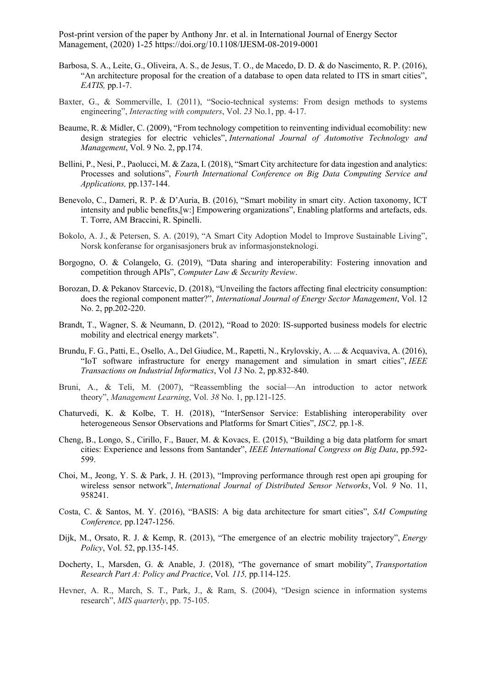- Barbosa, S. A., Leite, G., Oliveira, A. S., de Jesus, T. O., de Macedo, D. D. & do Nascimento, R. P. (2016), "An architecture proposal for the creation of a database to open data related to ITS in smart cities", *EATIS,* pp.1-7.
- Baxter, G., & Sommerville, I. (2011), "Socio-technical systems: From design methods to systems engineering", *Interacting with computers*, Vol. *23* No.1, pp. 4-17.
- Beaume, R. & Midler, C. (2009), "From technology competition to reinventing individual ecomobility: new design strategies for electric vehicles", *International Journal of Automotive Technology and Management*, Vol. 9 No. 2, pp.174.
- Bellini, P., Nesi, P., Paolucci, M. & Zaza, I. (2018), "Smart City architecture for data ingestion and analytics: Processes and solutions", *Fourth International Conference on Big Data Computing Service and Applications,* pp.137-144.
- Benevolo, C., Dameri, R. P. & D'Auria, B. (2016), "Smart mobility in smart city. Action taxonomy, ICT intensity and public benefits,[w:] Empowering organizations", Enabling platforms and artefacts, eds. T. Torre, AM Braccini, R. Spinelli.
- Bokolo, A. J., & Petersen, S. A. (2019), "A Smart City Adoption Model to Improve Sustainable Living", Norsk konferanse for organisasjoners bruk av informasjonsteknologi.
- Borgogno, O. & Colangelo, G. (2019), "Data sharing and interoperability: Fostering innovation and competition through APIs", *Computer Law & Security Review*.
- Borozan, D. & Pekanov Starcevic, D. (2018), "Unveiling the factors affecting final electricity consumption: does the regional component matter?", *International Journal of Energy Sector Management*, Vol. 12 No. 2, pp.202-220.
- Brandt, T., Wagner, S. & Neumann, D. (2012), "Road to 2020: IS-supported business models for electric mobility and electrical energy markets".
- Brundu, F. G., Patti, E., Osello, A., Del Giudice, M., Rapetti, N., Krylovskiy, A. ... & Acquaviva, A. (2016), "IoT software infrastructure for energy management and simulation in smart cities", *IEEE Transactions on Industrial Informatics*, Vol *13* No. 2, pp.832-840.
- Bruni, A., & Teli, M. (2007), "Reassembling the social—An introduction to actor network theory", *Management Learning*, Vol. *38* No. 1, pp.121-125.
- Chaturvedi, K. & Kolbe, T. H. (2018), "InterSensor Service: Establishing interoperability over heterogeneous Sensor Observations and Platforms for Smart Cities", *ISC2,* pp*.*1-8.
- Cheng, B., Longo, S., Cirillo, F., Bauer, M. & Kovacs, E. (2015), "Building a big data platform for smart cities: Experience and lessons from Santander", *IEEE International Congress on Big Data*, pp.592- 599.
- Choi, M., Jeong, Y. S. & Park, J. H. (2013), "Improving performance through rest open api grouping for wireless sensor network", *International Journal of Distributed Sensor Networks*, Vol. *9* No. 11, 958241.
- Costa, C. & Santos, M. Y. (2016), "BASIS: A big data architecture for smart cities", *SAI Computing Conference,* pp.1247-1256.
- Dijk, M., Orsato, R. J. & Kemp, R. (2013), "The emergence of an electric mobility trajectory", *Energy Policy*, Vol. 52, pp.135-145.
- Docherty, I., Marsden, G. & Anable, J. (2018), "The governance of smart mobility", *Transportation Research Part A: Policy and Practice*, Vol*. 115,* pp.114-125.
- Hevner, A. R., March, S. T., Park, J., & Ram, S. (2004), "Design science in information systems research", *MIS quarterly*, pp. 75-105.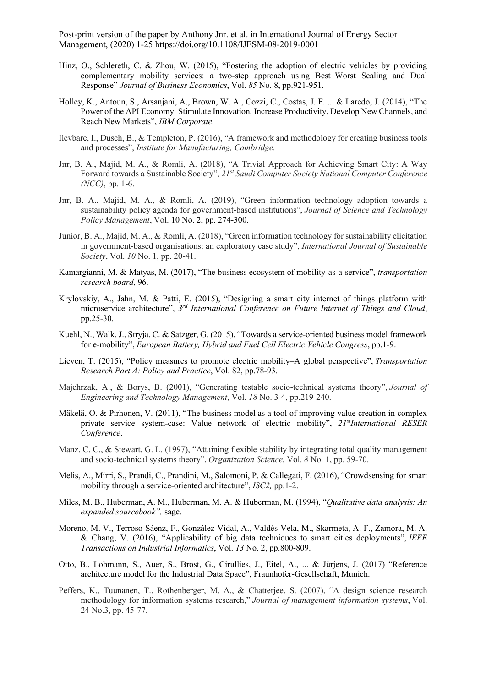- Hinz, O., Schlereth, C. & Zhou, W. (2015), "Fostering the adoption of electric vehicles by providing complementary mobility services: a two-step approach using Best–Worst Scaling and Dual Response" *Journal of Business Economics*, Vol. *85* No. 8, pp.921-951.
- Holley, K., Antoun, S., Arsanjani, A., Brown, W. A., Cozzi, C., Costas, J. F. ... & Laredo, J. (2014), "The Power of the API Economy–Stimulate Innovation, Increase Productivity, Develop New Channels, and Reach New Markets", *IBM Corporate*.
- Ilevbare, I., Dusch, B., & Templeton, P. (2016), "A framework and methodology for creating business tools and processes", *Institute for Manufacturing, Cambridge*.
- Jnr, B. A., Majid, M. A., & Romli, A. (2018), "A Trivial Approach for Achieving Smart City: A Way Forward towards a Sustainable Society", *21st Saudi Computer Society National Computer Conference (NCC)*, pp. 1-6.
- Jnr, B. A., Majid, M. A., & Romli, A. (2019), "Green information technology adoption towards a sustainability policy agenda for government-based institutions", *Journal of Science and Technology Policy Management*, Vol. 10 No. 2, pp. 274-300.
- Junior, B. A., Majid, M. A., & Romli, A. (2018), "Green information technology for sustainability elicitation in government-based organisations: an exploratory case study", *International Journal of Sustainable Society*, Vol. *10* No. 1, pp. 20-41.
- Kamargianni, M. & Matyas, M. (2017), "The business ecosystem of mobility-as-a-service", *transportation research board*, 96.
- Krylovskiy, A., Jahn, M. & Patti, E. (2015), "Designing a smart city internet of things platform with microservice architecture", *3 rd International Conference on Future Internet of Things and Cloud*, pp.25-30.
- Kuehl, N., Walk, J., Stryja, C. & Satzger, G. (2015), "Towards a service-oriented business model framework for e-mobility", *European Battery, Hybrid and Fuel Cell Electric Vehicle Congress*, pp.1-9.
- Lieven, T. (2015), "Policy measures to promote electric mobility–A global perspective", *Transportation Research Part A: Policy and Practice*, Vol. 82, pp.78-93.
- Majchrzak, A., & Borys, B. (2001), "Generating testable socio-technical systems theory", *Journal of Engineering and Technology Management*, Vol. *18* No. 3-4, pp.219-240.
- Mäkelä, O. & Pirhonen, V. (2011), "The business model as a tool of improving value creation in complex private service system-case: Value network of electric mobility", *21stInternational RESER Conference*.
- Manz, C. C., & Stewart, G. L. (1997), "Attaining flexible stability by integrating total quality management and socio-technical systems theory", *Organization Science*, Vol. *8* No. 1, pp. 59-70.
- Melis, A., Mirri, S., Prandi, C., Prandini, M., Salomoni, P. & Callegati, F. (2016), "Crowdsensing for smart mobility through a service-oriented architecture", *ISC2,* pp.1-2.
- Miles, M. B., Huberman, A. M., Huberman, M. A. & Huberman, M. (1994), "*Qualitative data analysis: An expanded sourcebook",* sage.
- Moreno, M. V., Terroso-Sáenz, F., González-Vidal, A., Valdés-Vela, M., Skarmeta, A. F., Zamora, M. A. & Chang, V. (2016), "Applicability of big data techniques to smart cities deployments", *IEEE Transactions on Industrial Informatics*, Vol. *13* No. 2, pp.800-809.
- Otto, B., Lohmann, S., Auer, S., Brost, G., Cirullies, J., Eitel, A., ... & Jürjens, J. (2017) "Reference architecture model for the Industrial Data Space", Fraunhofer-Gesellschaft, Munich.
- Peffers, K., Tuunanen, T., Rothenberger, M. A., & Chatterjee, S. (2007), "A design science research methodology for information systems research," *Journal of management information systems*, Vol. 24 No.3, pp. 45-77.